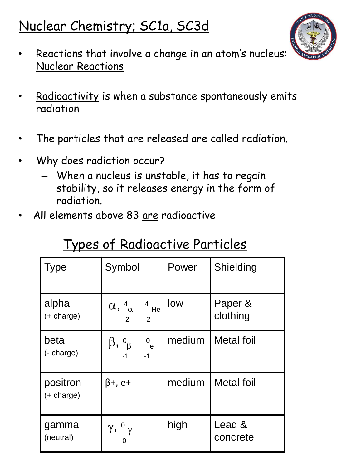## Nuclear Chemistry; SC1a, SC3d



- Reactions that involve a change in an atom's nucleus: Nuclear Reactions
- Radioactivity is when a substance spontaneously emits radiation
- The particles that are released are called radiation.
- Why does radiation occur?
	- When a nucleus is unstable, it has to regain stability, so it releases energy in the form of radiation.
- All elements above 83 are radioactive

| <b>Type</b>                     | Symbol                                                                   | Power  | Shielding           |
|---------------------------------|--------------------------------------------------------------------------|--------|---------------------|
| alpha<br>$(+ \text{charge})$    | $\alpha$ , $4_{\alpha}$ $4_{\text{He}}$<br>$2^{\circ}$<br>$\overline{2}$ | low    | Paper &<br>clothing |
| beta<br>(- charge)              | $\beta$ , $\delta_{\beta}$<br>0e<br>$-1$ $-1$                            | medium | <b>Metal foil</b>   |
| positron<br>$(+ \text{charge})$ | β+, e+                                                                   | medium | <b>Metal foil</b>   |
| gamma<br>(neutral)              | $\gamma$ , $\sigma_{\gamma}$                                             | high   | Lead &<br>concrete  |

## Types of Radioactive Particles